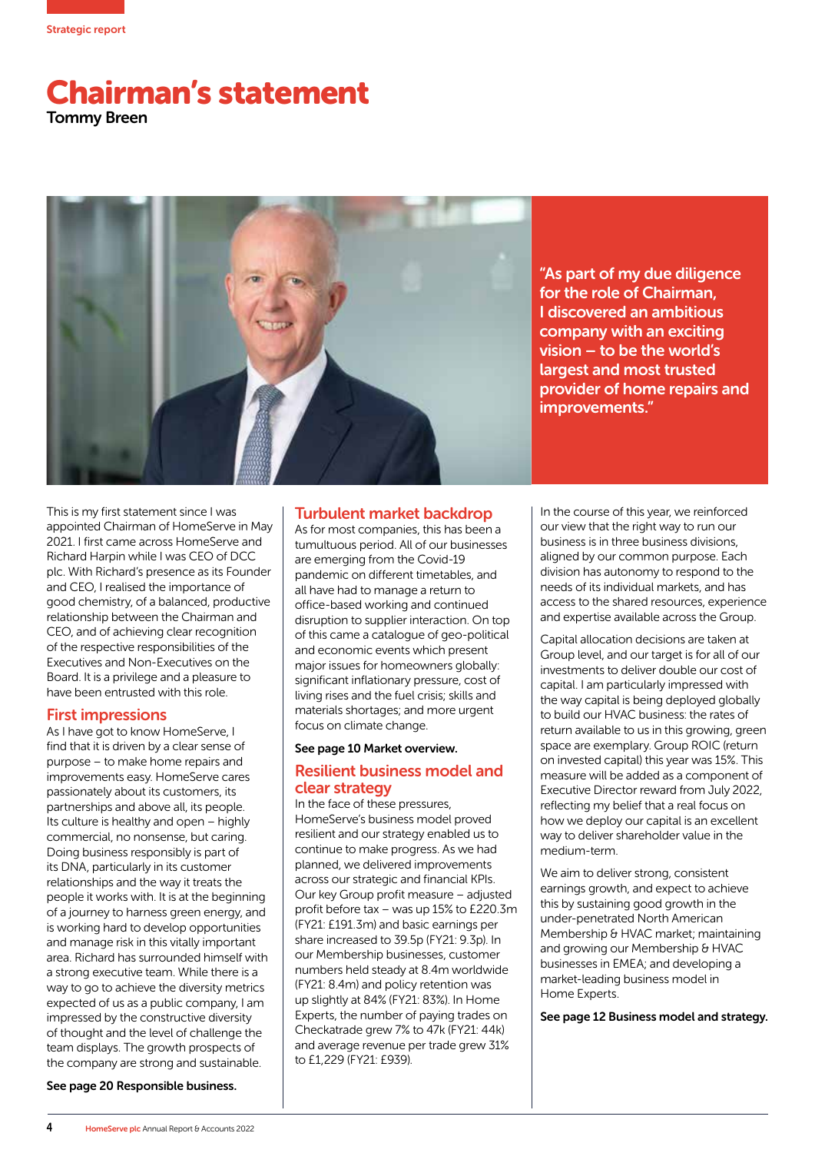

# Chairman's statement Tommy Breen



"As part of my due diligence for the role of Chairman, I discovered an ambitious company with an exciting vision – to be the world's largest and most trusted provider of home repairs and improvements."

This is my first statement since I was appointed Chairman of HomeServe in May 2021. I first came across HomeServe and Richard Harpin while I was CEO of DCC plc. With Richard's presence as its Founder and CEO, I realised the importance of good chemistry, of a balanced, productive relationship between the Chairman and CEO, and of achieving clear recognition of the respective responsibilities of the Executives and Non-Executives on the Board. It is a privilege and a pleasure to have been entrusted with this role.

## First impressions

As I have got to know HomeServe, I find that it is driven by a clear sense of purpose – to make home repairs and improvements easy. HomeServe cares passionately about its customers, its partnerships and above all, its people. Its culture is healthy and open – highly commercial, no nonsense, but caring. Doing business responsibly is part of its DNA, particularly in its customer relationships and the way it treats the people it works with. It is at the beginning of a journey to harness green energy, and is working hard to develop opportunities and manage risk in this vitally important area. Richard has surrounded himself with a strong executive team. While there is a way to go to achieve the diversity metrics expected of us as a public company, I am impressed by the constructive diversity of thought and the level of challenge the team displays. The growth prospects of the company are strong and sustainable.

## Turbulent market backdrop

As for most companies, this has been a tumultuous period. All of our businesses are emerging from the Covid-19 pandemic on different timetables, and all have had to manage a return to office-based working and continued disruption to supplier interaction. On top of this came a catalogue of geo-political and economic events which present major issues for homeowners globally: significant inflationary pressure, cost of living rises and the fuel crisis; skills and materials shortages; and more urgent focus on climate change.

#### See page 10 Market overview.

## Resilient business model and clear strategy

In the face of these pressures, HomeServe's business model proved resilient and our strategy enabled us to continue to make progress. As we had planned, we delivered improvements across our strategic and financial KPIs. Our key Group profit measure – adjusted profit before tax – was up 15% to £220.3m (FY21: £191.3m) and basic earnings per share increased to 39.5p (FY21: 9.3p). In our Membership businesses, customer numbers held steady at 8.4m worldwide (FY21: 8.4m) and policy retention was up slightly at 84% (FY21: 83%). In Home Experts, the number of paying trades on Checkatrade grew 7% to 47k (FY21: 44k) and average revenue per trade grew 31% to £1,229 (FY21: £939).

In the course of this year, we reinforced our view that the right way to run our business is in three business divisions, aligned by our common purpose. Each division has autonomy to respond to the needs of its individual markets, and has access to the shared resources, experience and expertise available across the Group.

Capital allocation decisions are taken at Group level, and our target is for all of our investments to deliver double our cost of capital. I am particularly impressed with the way capital is being deployed globally to build our HVAC business: the rates of return available to us in this growing, green space are exemplary. Group ROIC (return on invested capital) this year was 15%. This measure will be added as a component of Executive Director reward from July 2022, reflecting my belief that a real focus on how we deploy our capital is an excellent way to deliver shareholder value in the medium-term.

We aim to deliver strong, consistent earnings growth, and expect to achieve this by sustaining good growth in the under-penetrated North American Membership & HVAC market; maintaining and growing our Membership & HVAC businesses in EMEA; and developing a market-leading business model in Home Experts.

See page 12 Business model and strategy.

See page 20 Responsible business.